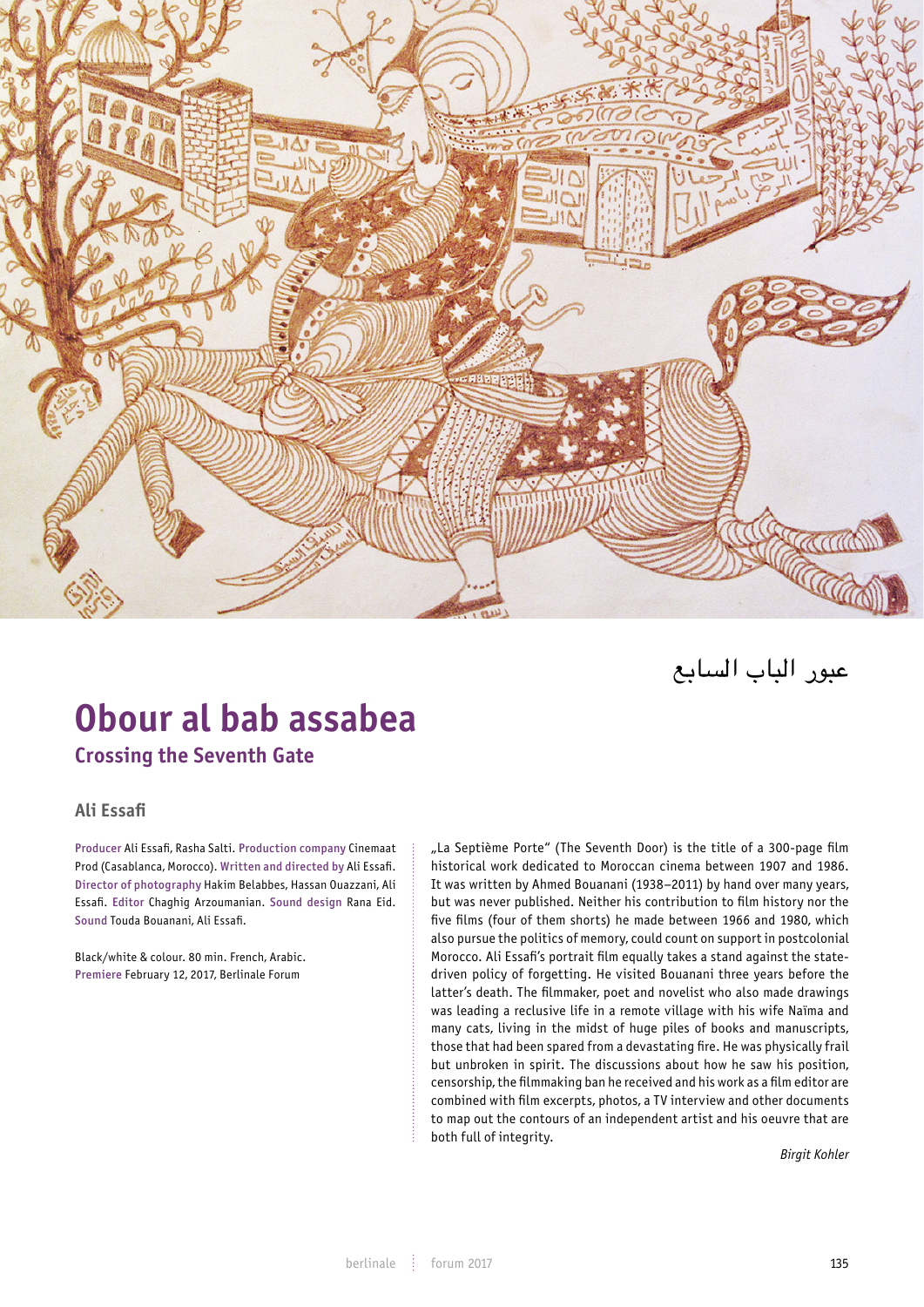

عبور الباب السابع

## **Obour al bab assabea**

**Crossing the Seventh Gate**

## **Ali Essafi**

Producer Ali Essafi, Rasha Salti. Production company Cinemaat Prod (Casablanca, Morocco). Written and directed by Ali Essafi. Director of photography Hakim Belabbes, Hassan Ouazzani, Ali Essafi. Editor Chaghig Arzoumanian. Sound design Rana Eid. Sound Touda Bouanani, Ali Essafi.

Black/white & colour. 80 min. French, Arabic. Premiere February 12, 2017, Berlinale Forum

"La Septième Porte" (The Seventh Door) is the title of a 300-page film historical work dedicated to Moroccan cinema between 1907 and 1986. It was written by Ahmed Bouanani (1938–2011) by hand over many years, but was never published. Neither his contribution to film history nor the five films (four of them shorts) he made between 1966 and 1980, which<br>also pursue the politics of memory could count on support in postcolonial also pursue the politics of memory, could count on support in postcolonial Morocco. Ali Essafi's portrait film equally takes a stand against the statedriven policy of forgetting. He visited Bouanani three years before the latter's death. The filmmaker, poet and novelist who also made drawings was leading a reclusive life in a remote village with his wife Naïma and many cats, living in the midst of huge piles of books and manuscripts, those that had been spared from a devastating fire. He was physically frail but unbroken in spirit. The discussions about how he saw his position, censorship, the filmmaking ban he received and his work as a film editor are combined with film excerpts, photos, a TV interview and other documents to map out the contours of an independent artist and his oeuvre that are both full of integrity.

*Birgit Kohler*